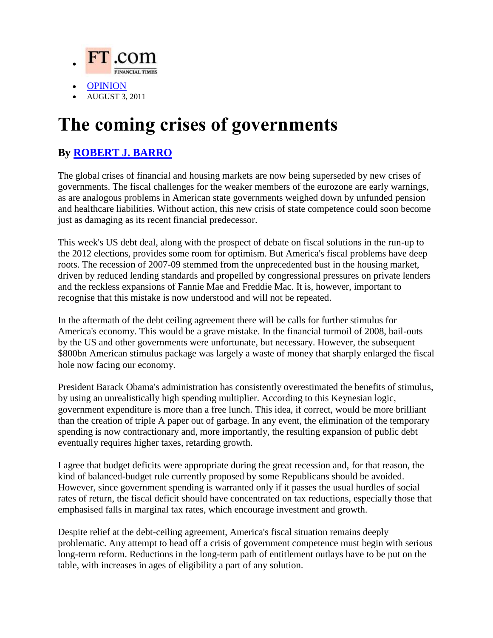

- [OPINION](http://online.wsj.com/public/search?article-doc-type=%7BCommentary+%28U.S.%29%7D&HEADER_TEXT=commentary+%28u.s.)
- AUGUST 3, 2011

## **The coming crises of governments**

## **By [ROBERT J. BARRO](http://online.wsj.com/search/search_center.html?KEYWORDS=ROBERT+J.+BARRO&ARTICLESEARCHQUERY_PARSER=bylineAND)**

The global crises of financial and housing markets are now being superseded by new crises of governments. The fiscal challenges for the weaker members of the eurozone are early warnings, as are analogous problems in American state governments weighed down by unfunded pension and healthcare liabilities. Without action, this new crisis of state competence could soon become just as damaging as its recent financial predecessor.

This week's US debt deal, along with the prospect of debate on fiscal solutions in the run-up to the 2012 elections, provides some room for optimism. But America's fiscal problems have deep roots. The recession of 2007-09 stemmed from the unprecedented bust in the housing market, driven by reduced lending standards and propelled by congressional pressures on private lenders and the reckless expansions of Fannie Mae and Freddie Mac. It is, however, important to recognise that this mistake is now understood and will not be repeated.

In the aftermath of the debt ceiling agreement there will be calls for further stimulus for America's economy. This would be a grave mistake. In the financial turmoil of 2008, bail-outs by the US and other governments were unfortunate, but necessary. However, the subsequent \$800bn American stimulus package was largely a waste of money that sharply enlarged the fiscal hole now facing our economy.

President Barack Obama's administration has consistently overestimated the benefits of stimulus, by using an unrealistically high spending multiplier. According to this Keynesian logic, government expenditure is more than a free lunch. This idea, if correct, would be more brilliant than the creation of triple A paper out of garbage. In any event, the elimination of the temporary spending is now contractionary and, more importantly, the resulting expansion of public debt eventually requires higher taxes, retarding growth.

I agree that budget deficits were appropriate during the great recession and, for that reason, the kind of balanced-budget rule currently proposed by some Republicans should be avoided. However, since government spending is warranted only if it passes the usual hurdles of social rates of return, the fiscal deficit should have concentrated on tax reductions, especially those that emphasised falls in marginal tax rates, which encourage investment and growth.

Despite relief at the debt-ceiling agreement, America's fiscal situation remains deeply problematic. Any attempt to head off a crisis of government competence must begin with serious long-term reform. Reductions in the long-term path of entitlement outlays have to be put on the table, with increases in ages of eligibility a part of any solution.